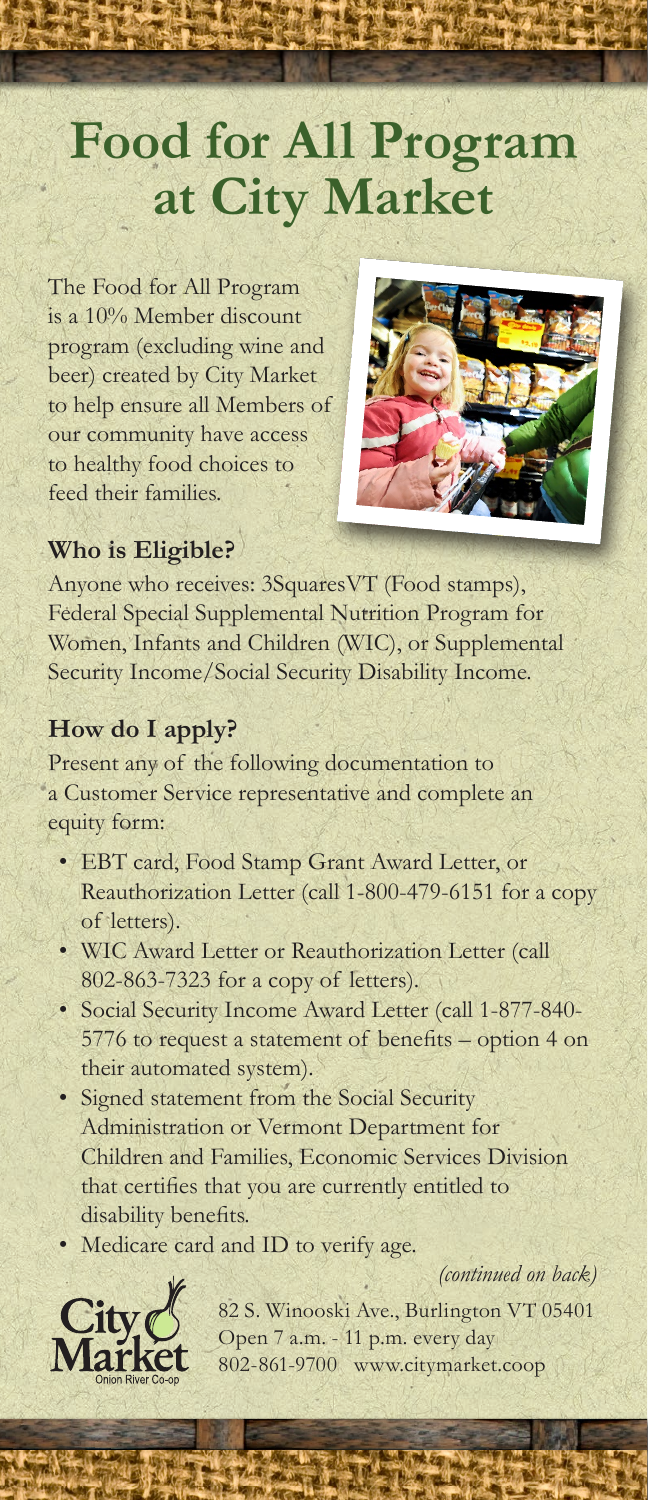# **Food for All Program at City Market**

The Food for All Program is a 10% Member discount program (excluding wine and beer) created by City Market to help ensure all Members of our community have access to healthy food choices to feed their families.



# **Who is Eligible?**

Anyone who receives: 3SquaresVT (Food stamps), Federal Special Supplemental Nutrition Program for Women, Infants and Children (WIC), or Supplemental Security Income/Social Security Disability Income.

#### **How do I apply?**

Present any of the following documentation to a Customer Service representative and complete an equity form:

- EBT card, Food Stamp Grant Award Letter, or Reauthorization Letter (call 1-800-479-6151 for a copy of letters).
- WIC Award Letter or Reauthorization Letter (call 802-863-7323 for a copy of letters).
- Social Security Income Award Letter (call 1-877-840- 5776 to request a statement of benefits – option 4 on their automated system).
- Signed statement from the Social Security Administration or Vermont Department for Children and Families, Economic Services Division that certifies that you are currently entitled to disability benefits.
- Medicare card and ID to verify age.

*(continued on back)*



82 S. Winooski Ave., Burlington VT 05401 Open 7 a.m. - 11 p.m. every day 802-861-9700 www.citymarket.coop